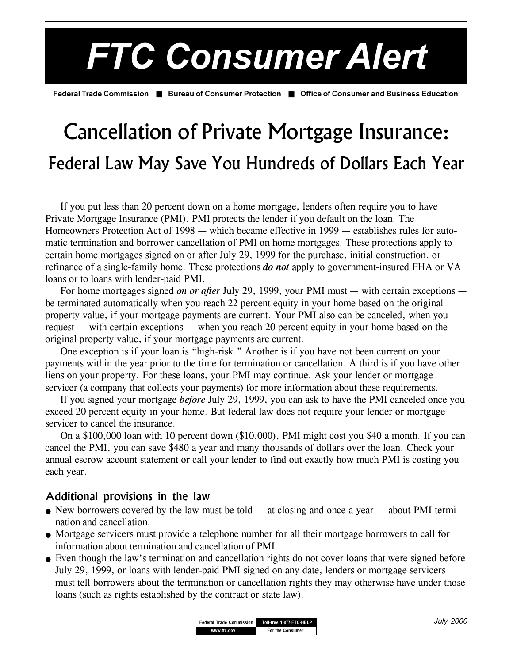# *FTC Consumer Alert*

**Federal Trade Commission** ■ **Bureau of Consumer Protection** ■ **Office of Consumer and Business Education**

# Cancellation of Private Mortgage Insurance: Federal Law May Save You Hundreds of Dollars Each Year

If you put less than 20 percent down on a home mortgage, lenders often require you to have Private Mortgage Insurance (PMI). PMI protects the lender if you default on the loan. The Homeowners Protection Act of 1998 — which became effective in 1999 — establishes rules for automatic termination and borrower cancellation of PMI on home mortgages. These protections apply to certain home mortgages signed on or after July 29, 1999 for the purchase, initial construction, or refinance of a single-family home. These protections *do not* apply to government-insured FHA or VA loans or to loans with lender-paid PMI.

For home mortgages signed *on or after July 29*, 1999, your PMI must — with certain exceptions be terminated automatically when you reach 22 percent equity in your home based on the original property value, if your mortgage payments are current. Your PMI also can be canceled, when you request  $-$  with certain exceptions  $-$  when you reach 20 percent equity in your home based on the original property value, if your mortgage payments are current.

One exception is if your loan is "high-risk." Another is if you have not been current on your payments within the year prior to the time for termination or cancellation. A third is if you have other liens on your property. For these loans, your PMI may continue. Ask your lender or mortgage servicer (a company that collects your payments) for more information about these requirements.

If you signed your mortgage *before* July 29, 1999, you can ask to have the PMI canceled once you exceed 20 percent equity in your home. But federal law does not require your lender or mortgage servicer to cancel the insurance.

On a \$100,000 loan with 10 percent down (\$10,000), PMI might cost you \$40 a month. If you can cancel the PMI, you can save \$480 a year and many thousands of dollars over the loan. Check your annual escrow account statement or call your lender to find out exactly how much PMI is costing you each year.

#### Additional provisions in the law

- New borrowers covered by the law must be told  $-$  at closing and once a year  $-$  about PMI termination and cancellation.
- Mortgage servicers must provide a telephone number for all their mortgage borrowers to call for information about termination and cancellation of PMI.
- Even though the law's termination and cancellation rights do not cover loans that were signed before July 29, 1999, or loans with lender-paid PMI signed on any date, lenders or mortgage servicers must tell borrowers about the termination or cancellation rights they may otherwise have under those loans (such as rights established by the contract or state law).